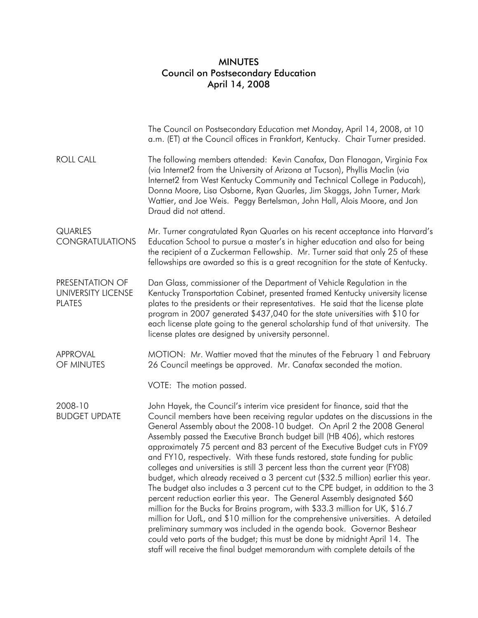## MINUTES Council on Postsecondary Education April 14, 2008

|                                                        | The Council on Postsecondary Education met Monday, April 14, 2008, at 10<br>a.m. (ET) at the Council offices in Frankfort, Kentucky. Chair Turner presided.                                                                                                                                                                                                                                                                                                                                                                                                                                                                                                                                                                                                                                                                                                                                                                                                                                                                                                                                                                                                                                                                             |
|--------------------------------------------------------|-----------------------------------------------------------------------------------------------------------------------------------------------------------------------------------------------------------------------------------------------------------------------------------------------------------------------------------------------------------------------------------------------------------------------------------------------------------------------------------------------------------------------------------------------------------------------------------------------------------------------------------------------------------------------------------------------------------------------------------------------------------------------------------------------------------------------------------------------------------------------------------------------------------------------------------------------------------------------------------------------------------------------------------------------------------------------------------------------------------------------------------------------------------------------------------------------------------------------------------------|
| <b>ROLL CALL</b>                                       | The following members attended: Kevin Canafax, Dan Flanagan, Virginia Fox<br>(via Internet2 from the University of Arizona at Tucson), Phyllis Maclin (via<br>Internet2 from West Kentucky Community and Technical College in Paducah),<br>Donna Moore, Lisa Osborne, Ryan Quarles, Jim Skaggs, John Turner, Mark<br>Wattier, and Joe Weis. Peggy Bertelsman, John Hall, Alois Moore, and Jon<br>Draud did not attend.                                                                                                                                                                                                                                                                                                                                                                                                                                                                                                                                                                                                                                                                                                                                                                                                                  |
| <b>QUARLES</b><br><b>CONGRATULATIONS</b>               | Mr. Turner congratulated Ryan Quarles on his recent acceptance into Harvard's<br>Education School to pursue a master's in higher education and also for being<br>the recipient of a Zuckerman Fellowship. Mr. Turner said that only 25 of these<br>fellowships are awarded so this is a great recognition for the state of Kentucky.                                                                                                                                                                                                                                                                                                                                                                                                                                                                                                                                                                                                                                                                                                                                                                                                                                                                                                    |
| PRESENTATION OF<br>UNIVERSITY LICENSE<br><b>PLATES</b> | Dan Glass, commissioner of the Department of Vehicle Regulation in the<br>Kentucky Transportation Cabinet, presented framed Kentucky university license<br>plates to the presidents or their representatives. He said that the license plate<br>program in 2007 generated \$437,040 for the state universities with \$10 for<br>each license plate going to the general scholarship fund of that university. The<br>license plates are designed by university personnel.                                                                                                                                                                                                                                                                                                                                                                                                                                                                                                                                                                                                                                                                                                                                                                |
| <b>APPROVAL</b><br>OF MINUTES                          | MOTION: Mr. Wattier moved that the minutes of the February 1 and February<br>26 Council meetings be approved. Mr. Canafax seconded the motion.                                                                                                                                                                                                                                                                                                                                                                                                                                                                                                                                                                                                                                                                                                                                                                                                                                                                                                                                                                                                                                                                                          |
|                                                        | VOTE: The motion passed.                                                                                                                                                                                                                                                                                                                                                                                                                                                                                                                                                                                                                                                                                                                                                                                                                                                                                                                                                                                                                                                                                                                                                                                                                |
| 2008-10<br><b>BUDGET UPDATE</b>                        | John Hayek, the Council's interim vice president for finance, said that the<br>Council members have been receiving regular updates on the discussions in the<br>General Assembly about the 2008-10 budget. On April 2 the 2008 General<br>Assembly passed the Executive Branch budget bill (HB 406), which restores<br>approximately 75 percent and 83 percent of the Executive Budget cuts in FY09<br>and FY10, respectively. With these funds restored, state funding for public<br>colleges and universities is still 3 percent less than the current year (FY08)<br>budget, which already received a 3 percent cut (\$32.5 million) earlier this year.<br>The budget also includes a 3 percent cut to the CPE budget, in addition to the 3<br>percent reduction earlier this year. The General Assembly designated \$60<br>million for the Bucks for Brains program, with \$33.3 million for UK, \$16.7<br>million for UofL, and \$10 million for the comprehensive universities. A detailed<br>preliminary summary was included in the agenda book. Governor Beshear<br>could veto parts of the budget; this must be done by midnight April 14. The<br>staff will receive the final budget memorandum with complete details of the |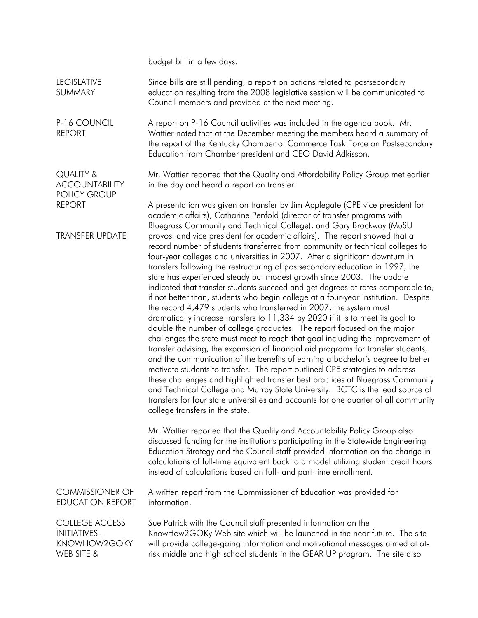budget bill in a few days.

QUALITY &

REPORT

**ACCOUNTABILITY** POLICY GROUP

LEGISLATIVE SUMMARY Since bills are still pending, a report on actions related to postsecondary education resulting from the 2008 legislative session will be communicated to Council members and provided at the next meeting.

P-16 COUNCIL REPORT A report on P-16 Council activities was included in the agenda book. Mr. Wattier noted that at the December meeting the members heard a summary of the report of the Kentucky Chamber of Commerce Task Force on Postsecondary Education from Chamber president and CEO David Adkisson.

> Mr. Wattier reported that the Quality and Affordability Policy Group met earlier in the day and heard a report on transfer.

TRANSFER UPDATE A presentation was given on transfer by Jim Applegate (CPE vice president for academic affairs), Catharine Penfold (director of transfer programs with Bluegrass Community and Technical College), and Gary Brockway (MuSU provost and vice president for academic affairs). The report showed that a record number of students transferred from community or technical colleges to four-year colleges and universities in 2007. After a significant downturn in transfers following the restructuring of postsecondary education in 1997, the state has experienced steady but modest growth since 2003. The update indicated that transfer students succeed and get degrees at rates comparable to, if not better than, students who begin college at a four-year institution. Despite the record 4,479 students who transferred in 2007, the system must dramatically increase transfers to 11,334 by 2020 if it is to meet its goal to [double the number](https://help.kyvu.org/rd?1=AvcG%7Ewq7Dv8SmQz5Gtge%7EyL%7EJvkq%7E9H%7E&2=268) of college graduates. The report focused on the major challenges the state must meet to reach that goal including the improvement of transfer advising, the expansion of financial aid programs for transfer students, and the communication of the benefits of earning a bachelor's degree to better motivate students to transfer. The report outlined CPE strategies to address these challenges and highlighted transfer best practices at Bluegrass Community and Technical College and Murray State University. BCTC is the lead source of transfers for four state universities and accounts for one quarter of all community college transfers in the state.

> Mr. Wattier reported that the Quality and Accountability Policy Group also discussed funding for the institutions participating in the Statewide Engineering Education Strategy and the Council staff provided information on the change in calculations of full-time equivalent back to a model utilizing student credit hours instead of calculations based on full- and part-time enrollment.

COMMISSIONER OF EDUCATION REPORT A written report from the Commissioner of Education was provided for information.

COLLEGE ACCESS INITIATIVES – KNOWHOW2GOKY WEB SITE & Sue Patrick with the Council staff presented information on the KnowHow2GOKy Web site which will be launched in the near future. The site will provide college-going information and motivational messages aimed at atrisk middle and high school students in the GEAR UP program. The site also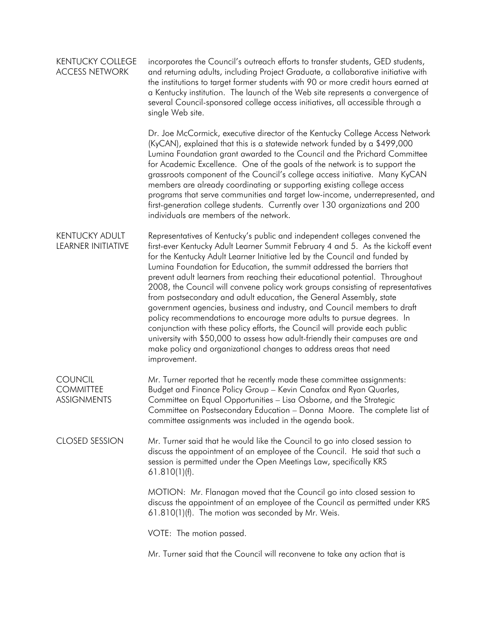| <b>KENTUCKY COLLEGE</b><br><b>ACCESS NETWORK</b>         | incorporates the Council's outreach efforts to transfer students, GED students,<br>and returning adults, including Project Graduate, a collaborative initiative with<br>the institutions to target former students with 90 or more credit hours earned at<br>a Kentucky institution. The launch of the Web site represents a convergence of<br>several Council-sponsored college access initiatives, all accessible through a<br>single Web site.                                                                                                                                                                                                                                                                                                                                                                                                                                                                                                                         |
|----------------------------------------------------------|---------------------------------------------------------------------------------------------------------------------------------------------------------------------------------------------------------------------------------------------------------------------------------------------------------------------------------------------------------------------------------------------------------------------------------------------------------------------------------------------------------------------------------------------------------------------------------------------------------------------------------------------------------------------------------------------------------------------------------------------------------------------------------------------------------------------------------------------------------------------------------------------------------------------------------------------------------------------------|
|                                                          | Dr. Joe McCormick, executive director of the Kentucky College Access Network<br>(KyCAN), explained that this is a statewide network funded by a \$499,000<br>Lumina Foundation grant awarded to the Council and the Prichard Committee<br>for Academic Excellence. One of the goals of the network is to support the<br>grassroots component of the Council's college access initiative. Many KyCAN<br>members are already coordinating or supporting existing college access<br>programs that serve communities and target low-income, underrepresented, and<br>first-generation college students. Currently over 130 organizations and 200<br>individuals are members of the network.                                                                                                                                                                                                                                                                                   |
| <b>KENTUCKY ADULT</b><br><b>LEARNER INITIATIVE</b>       | Representatives of Kentucky's public and independent colleges convened the<br>first-ever Kentucky Adult Learner Summit February 4 and 5. As the kickoff event<br>for the Kentucky Adult Learner Initiative led by the Council and funded by<br>Lumina Foundation for Education, the summit addressed the barriers that<br>prevent adult learners from reaching their educational potential. Throughout<br>2008, the Council will convene policy work groups consisting of representatives<br>from postsecondary and adult education, the General Assembly, state<br>government agencies, business and industry, and Council members to draft<br>policy recommendations to encourage more adults to pursue degrees. In<br>conjunction with these policy efforts, the Council will provide each public<br>university with \$50,000 to assess how adult-friendly their campuses are and<br>make policy and organizational changes to address areas that need<br>improvement. |
| <b>COUNCIL</b><br><b>COMMITTEE</b><br><b>ASSIGNMENTS</b> | Mr. Turner reported that he recently made these committee assignments:<br>Budget and Finance Policy Group - Kevin Canafax and Ryan Quarles,<br>Committee on Equal Opportunities - Lisa Osborne, and the Strategic<br>Committee on Postsecondary Education - Donna Moore. The complete list of<br>committee assignments was included in the agenda book.                                                                                                                                                                                                                                                                                                                                                                                                                                                                                                                                                                                                                   |
| <b>CLOSED SESSION</b>                                    | Mr. Turner said that he would like the Council to go into closed session to<br>discuss the appointment of an employee of the Council. He said that such a<br>session is permitted under the Open Meetings Law, specifically KRS<br>$61.810(1)$ (f).                                                                                                                                                                                                                                                                                                                                                                                                                                                                                                                                                                                                                                                                                                                       |
|                                                          | MOTION: Mr. Flanagan moved that the Council go into closed session to<br>discuss the appointment of an employee of the Council as permitted under KRS<br>$61.810(1)$ (f). The motion was seconded by Mr. Weis.                                                                                                                                                                                                                                                                                                                                                                                                                                                                                                                                                                                                                                                                                                                                                            |
|                                                          | VOTE: The motion passed.                                                                                                                                                                                                                                                                                                                                                                                                                                                                                                                                                                                                                                                                                                                                                                                                                                                                                                                                                  |
|                                                          | Mr. Turner said that the Council will reconvene to take any action that is                                                                                                                                                                                                                                                                                                                                                                                                                                                                                                                                                                                                                                                                                                                                                                                                                                                                                                |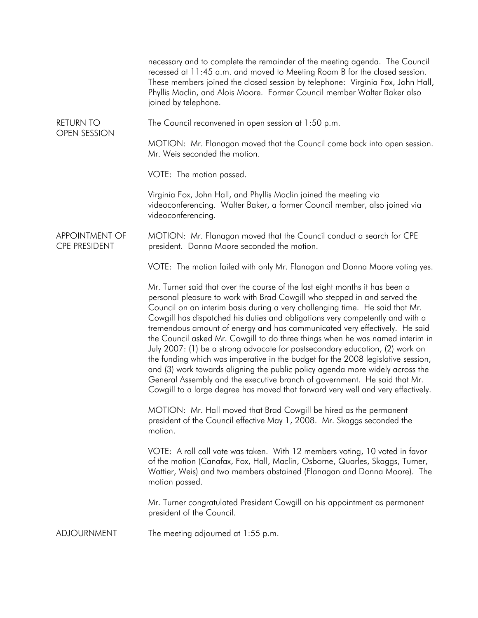|                                               | necessary and to complete the remainder of the meeting agenda. The Council<br>recessed at 11:45 a.m. and moved to Meeting Room B for the closed session.<br>These members joined the closed session by telephone: Virginia Fox, John Hall,<br>Phyllis Maclin, and Alois Moore. Former Council member Walter Baker also<br>joined by telephone.                                                                                                                                                                                                                                                                                                                                                                                                                                                                                                                                                                 |
|-----------------------------------------------|----------------------------------------------------------------------------------------------------------------------------------------------------------------------------------------------------------------------------------------------------------------------------------------------------------------------------------------------------------------------------------------------------------------------------------------------------------------------------------------------------------------------------------------------------------------------------------------------------------------------------------------------------------------------------------------------------------------------------------------------------------------------------------------------------------------------------------------------------------------------------------------------------------------|
| <b>RETURN TO</b><br><b>OPEN SESSION</b>       | The Council reconvened in open session at 1:50 p.m.                                                                                                                                                                                                                                                                                                                                                                                                                                                                                                                                                                                                                                                                                                                                                                                                                                                            |
|                                               | MOTION: Mr. Flanagan moved that the Council come back into open session.<br>Mr. Weis seconded the motion.                                                                                                                                                                                                                                                                                                                                                                                                                                                                                                                                                                                                                                                                                                                                                                                                      |
|                                               | VOTE: The motion passed.                                                                                                                                                                                                                                                                                                                                                                                                                                                                                                                                                                                                                                                                                                                                                                                                                                                                                       |
|                                               | Virginia Fox, John Hall, and Phyllis Maclin joined the meeting via<br>videoconferencing. Walter Baker, a former Council member, also joined via<br>videoconferencing.                                                                                                                                                                                                                                                                                                                                                                                                                                                                                                                                                                                                                                                                                                                                          |
| <b>APPOINTMENT OF</b><br><b>CPE PRESIDENT</b> | MOTION: Mr. Flanagan moved that the Council conduct a search for CPE<br>president. Donna Moore seconded the motion.                                                                                                                                                                                                                                                                                                                                                                                                                                                                                                                                                                                                                                                                                                                                                                                            |
|                                               | VOTE: The motion failed with only Mr. Flanagan and Donna Moore voting yes.                                                                                                                                                                                                                                                                                                                                                                                                                                                                                                                                                                                                                                                                                                                                                                                                                                     |
|                                               | Mr. Turner said that over the course of the last eight months it has been a<br>personal pleasure to work with Brad Cowgill who stepped in and served the<br>Council on an interim basis during a very challenging time. He said that Mr.<br>Cowgill has dispatched his duties and obligations very competently and with a<br>tremendous amount of energy and has communicated very effectively. He said<br>the Council asked Mr. Cowgill to do three things when he was named interim in<br>July 2007: (1) be a strong advocate for postsecondary education, (2) work on<br>the funding which was imperative in the budget for the 2008 legislative session,<br>and (3) work towards aligning the public policy agenda more widely across the<br>General Assembly and the executive branch of government. He said that Mr.<br>Cowgill to a large degree has moved that forward very well and very effectively. |
|                                               | MOTION: Mr. Hall moved that Brad Cowgill be hired as the permanent<br>president of the Council effective May 1, 2008. Mr. Skaggs seconded the<br>motion.                                                                                                                                                                                                                                                                                                                                                                                                                                                                                                                                                                                                                                                                                                                                                       |
|                                               | VOTE: A roll call vote was taken. With 12 members voting, 10 voted in favor<br>of the motion (Canafax, Fox, Hall, Maclin, Osborne, Quarles, Skaggs, Turner,<br>Wattier, Weis) and two members abstained (Flanagan and Donna Moore). The<br>motion passed.                                                                                                                                                                                                                                                                                                                                                                                                                                                                                                                                                                                                                                                      |
|                                               | Mr. Turner congratulated President Cowgill on his appointment as permanent<br>president of the Council.                                                                                                                                                                                                                                                                                                                                                                                                                                                                                                                                                                                                                                                                                                                                                                                                        |
| <b>ADJOURNMENT</b>                            | The meeting adjourned at 1:55 p.m.                                                                                                                                                                                                                                                                                                                                                                                                                                                                                                                                                                                                                                                                                                                                                                                                                                                                             |